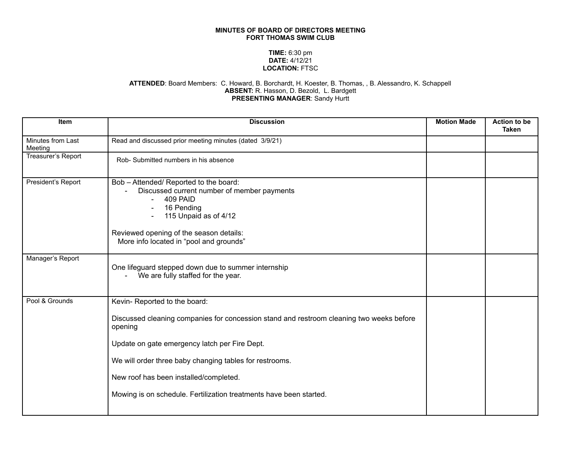## **MINUTES OF BOARD OF DIRECTORS MEETING FORT THOMAS SWIM CLUB**

## **TIME:** 6:30 pm **DATE:** 4/12/21 **LOCATION:** FTSC

## **ATTENDED**: Board Members: C. Howard, B. Borchardt, H. Koester, B. Thomas, , B. Alessandro, K. Schappell **ABSENT:** R. Hasson, D. Bezold, L. Bardgett **PRESENTING MANAGER**: Sandy Hurtt

| <b>Item</b>                  | <b>Discussion</b>                                                                                                                                                                                                                                                                                                                                               | <b>Motion Made</b> | <b>Action to be</b><br><b>Taken</b> |
|------------------------------|-----------------------------------------------------------------------------------------------------------------------------------------------------------------------------------------------------------------------------------------------------------------------------------------------------------------------------------------------------------------|--------------------|-------------------------------------|
| Minutes from Last<br>Meeting | Read and discussed prior meeting minutes (dated 3/9/21)                                                                                                                                                                                                                                                                                                         |                    |                                     |
| Treasurer's Report           | Rob-Submitted numbers in his absence                                                                                                                                                                                                                                                                                                                            |                    |                                     |
| President's Report           | Bob - Attended/ Reported to the board:<br>Discussed current number of member payments<br>409 PAID<br>16 Pending<br>115 Unpaid as of 4/12<br>Reviewed opening of the season details:<br>More info located in "pool and grounds"                                                                                                                                  |                    |                                     |
| Manager's Report             | One lifeguard stepped down due to summer internship<br>We are fully staffed for the year.                                                                                                                                                                                                                                                                       |                    |                                     |
| Pool & Grounds               | Kevin-Reported to the board:<br>Discussed cleaning companies for concession stand and restroom cleaning two weeks before<br>opening<br>Update on gate emergency latch per Fire Dept.<br>We will order three baby changing tables for restrooms.<br>New roof has been installed/completed.<br>Mowing is on schedule. Fertilization treatments have been started. |                    |                                     |